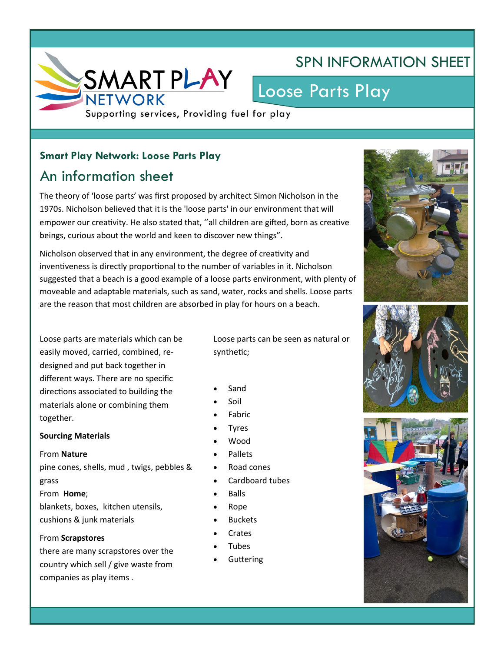

## SPN INFORMATION SHEET

# Loose Parts Play

Supporting services, Providing fuel for play

#### **Smart Play Network: Loose Parts Play**

## An information sheet

The theory of 'loose parts' was first proposed by architect Simon Nicholson in the 1970s. Nicholson believed that it is the 'loose parts' in our environment that will empower our creativity. He also stated that, ''all children are gifted, born as creative beings, curious about the world and keen to discover new things".

Nicholson observed that in any environment, the degree of creativity and inventiveness is directly proportional to the number of variables in it. Nicholson suggested that a beach is a good example of a loose parts environment, with plenty of moveable and adaptable materials, such as sand, water, rocks and shells. Loose parts are the reason that most children are absorbed in play for hours on a beach.

Loose parts are materials which can be easily moved, carried, combined, redesigned and put back together in different ways. There are no specific directions associated to building the materials alone or combining them together.

#### **Sourcing Materials**

#### From **Nature**

pine cones, shells, mud , twigs, pebbles & grass From **Home**;

blankets, boxes, kitchen utensils, cushions & junk materials

#### From **Scrapstores**

there are many scrapstores over the country which sell / give waste from companies as play items .

Loose parts can be seen as natural or synthetic;

- Sand
- Soil
- Fabric
- Tyres
- Wood
- Pallets
- Road cones
- Cardboard tubes
- Balls
- Rope
- **Buckets**
- **Crates**
- Tubes
- Guttering